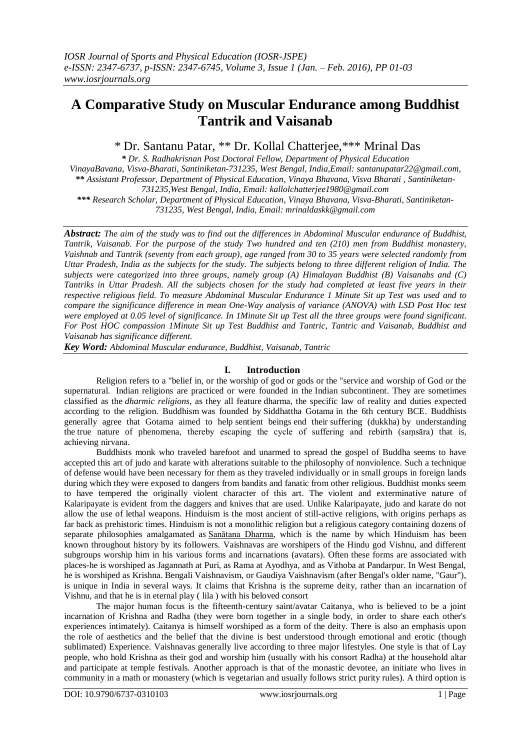# **A Comparative Study on Muscular Endurance among Buddhist Tantrik and Vaisanab**

\* Dr. Santanu Patar, \*\* Dr. Kollal Chatterjee,\*\*\* Mrinal Das

*\* Dr. S. Radhakrisnan Post Doctoral Fellow, Department of Physical Education VinayaBavana, Visva-Bharati, Santiniketan-731235, West Bengal, India,Email: santanupatar22@gmail.com, \*\* Assistant Professor, Department of Physical Education, Vinaya Bhavana, Visva Bharati , Santiniketan-731235,West Bengal, India, Email: kallolchatterjee1980@gmail.com \*\*\* Research Scholar, Department of Physical Education, Vinaya Bhavana, Visva-Bharati, Santiniketan-*

*731235, West Bengal, India, Email: mrinaldaskk@gmail.com*

*Abstract: The aim of the study was to find out the differences in Abdominal Muscular endurance of Buddhist, Tantrik, Vaisanab. For the purpose of the study Two hundred and ten (210) men from Buddhist monastery, Vaishnab and Tantrik (seventy from each group), age ranged from 30 to 35 years were selected randomly from Uttar Pradesh, India as the subjects for the study. The subjects belong to three different religion of India. The subjects were categorized into three groups, namely group (A) Himalayan Buddhist (B) Vaisanabs and (C) Tantriks in Uttar Pradesh. All the subjects chosen for the study had completed at least five years in their respective religious field. To measure Abdominal Muscular Endurance 1 Minute Sit up Test was used and to compare the significance difference in mean One-Way analysis of variance (ANOVA) with LSD Post Hoc test were employed at 0.05 level of significance. In 1Minute Sit up Test all the three groups were found significant. For Post HOC compassion 1Minute Sit up Test Buddhist and Tantric, Tantric and Vaisanab, Buddhist and Vaisanab has significance different.* 

*Key Word: Abdominal Muscular endurance, Buddhist, Vaisanab, Tantric*

### **I. Introduction**

Religion refers to a "belief in, or the worship of god or gods or the "service and worship of God or the supernatural. Indian religions are practiced or were founded in the Indian subcontinent. They are sometimes classified as the *dharmic religions*, as they all feature dharma, the specific law of reality and duties expected according to the religion. Buddhism was founded by Siddhattha Gotama in the 6th century BCE. Buddhists generally agree that Gotama aimed to help sentient beings end their suffering (dukkha) by understanding the true nature of phenomena, thereby escaping the cycle of suffering and rebirth (saṃsāra) that is, achieving nirvana.

Buddhists monk who traveled barefoot and unarmed to spread the gospel of Buddha seems to have accepted this art of judo and karate with alterations suitable to the philosophy of nonviolence. Such a technique of defense would have been necessary for them as they traveled individually or in small groups in foreign lands during which they were exposed to dangers from bandits and fanatic from other religious. Buddhist monks seem to have tempered the originally violent character of this art. The violent and exterminative nature of Kalaripayate is evident from the daggers and knives that are used. Unlike Kalaripayate, judo and karate do not allow the use of lethal weapons. Hinduism is the most ancient of still-active religions, with origins perhaps as far back as prehistoric times. Hinduism is not a monolithic religion but a religious category containing dozens of separate philosophies amalgamated as [Sanātana Dharma,](https://en.wikipedia.org/wiki/San%C4%81tana_Dharma) which is the name by which Hinduism has been known throughout history by its followers. Vaishnavas are worshipers of the Hindu god Vishnu, and different subgroups worship him in his various forms and incarnations (avatars). Often these forms are associated with places-he is worshiped as Jagannath at Puri, as Rama at Ayodhya, and as Vithoba at Pandarpur. In West Bengal, he is worshiped as Krishna. Bengali Vaishnavism, or Gaudiya Vaishnavism (after Bengal's older name, "Gaur"), is unique in India in several ways. It claims that Krishna is the supreme deity, rather than an incarnation of Vishnu, and that he is in eternal play ( lila ) with his beloved consort

The major human focus is the fifteenth-century saint/avatar Caitanya, who is believed to be a joint incarnation of Krishna and Radha (they were born together in a single body, in order to share each other's experiences intimately). Caitanya is himself worshiped as a form of the deity. There is also an emphasis upon the role of aesthetics and the belief that the divine is best understood through emotional and erotic (though sublimated) Experience. Vaishnavas generally live according to three major lifestyles. One style is that of Lay people, who hold Krishna as their god and worship him (usually with his consort Radha) at the household altar and participate at temple festivals. Another approach is that of the monastic devotee, an initiate who lives in community in a math or monastery (which is vegetarian and usually follows strict purity rules). A third option is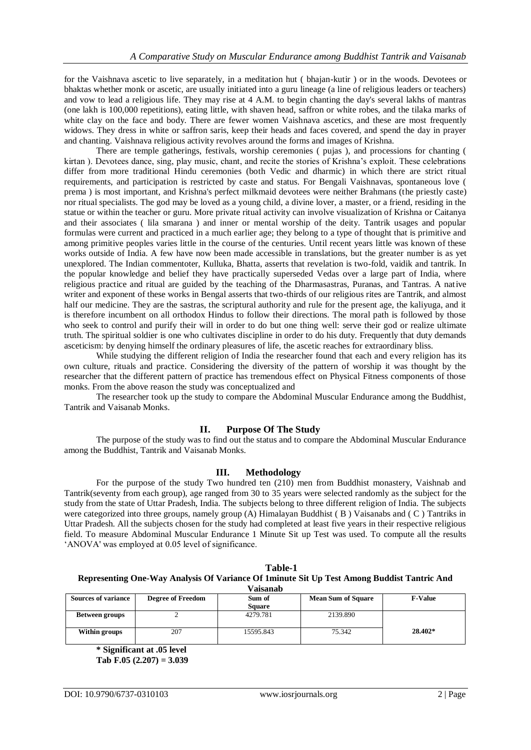for the Vaishnava ascetic to live separately, in a meditation hut ( bhajan-kutir ) or in the woods. Devotees or bhaktas whether monk or ascetic, are usually initiated into a guru lineage (a line of religious leaders or teachers) and vow to lead a religious life. They may rise at 4 A.M. to begin chanting the day's several lakhs of mantras (one lakh is 100,000 repetitions), eating little, with shaven head, saffron or white robes, and the tilaka marks of white clay on the face and body. There are fewer women Vaishnava ascetics, and these are most frequently widows. They dress in white or saffron saris, keep their heads and faces covered, and spend the day in prayer and chanting. Vaishnava religious activity revolves around the forms and images of Krishna.

There are temple gatherings, festivals, worship ceremonies ( pujas ), and processions for chanting ( kirtan ). Devotees dance, sing, play music, chant, and recite the stories of Krishna"s exploit. These celebrations differ from more traditional Hindu ceremonies (both Vedic and dharmic) in which there are strict ritual requirements, and participation is restricted by caste and status. For Bengali Vaishnavas, spontaneous love ( prema ) is most important, and Krishna's perfect milkmaid devotees were neither Brahmans (the priestly caste) nor ritual specialists. The god may be loved as a young child, a divine lover, a master, or a friend, residing in the statue or within the teacher or guru. More private ritual activity can involve visualization of Krishna or Caitanya and their associates ( lila smarana ) and inner or mental worship of the deity. Tantrik usages and popular formulas were current and practiced in a much earlier age; they belong to a type of thought that is primitive and among primitive peoples varies little in the course of the centuries. Until recent years little was known of these works outside of India. A few have now been made accessible in translations, but the greater number is as yet unexplored. The Indian commentoter, Kulluka, Bhatta, asserts that revelation is two-fold, vaidik and tantrik. In the popular knowledge and belief they have practically superseded Vedas over a large part of India, where religious practice and ritual are guided by the teaching of the Dharmasastras, Puranas, and Tantras. A native writer and exponent of these works in Bengal asserts that two-thirds of our religious rites are Tantrik, and almost half our medicine. They are the sastras, the scriptural authority and rule for the present age, the kaliyuga, and it is therefore incumbent on all orthodox Hindus to follow their directions. The moral path is followed by those who seek to control and purify their will in order to do but one thing well: serve their god or realize ultimate truth. The spiritual soldier is one who cultivates discipline in order to do his duty. Frequently that duty demands asceticism: by denying himself the ordinary pleasures of life, the ascetic reaches for extraordinary bliss.

While studying the different religion of India the researcher found that each and every religion has its own culture, rituals and practice. Considering the diversity of the pattern of worship it was thought by the researcher that the different pattern of practice has tremendous effect on Physical Fitness components of those monks. From the above reason the study was conceptualized and

The researcher took up the study to compare the Abdominal Muscular Endurance among the Buddhist, Tantrik and Vaisanab Monks.

### **II. Purpose Of The Study**

The purpose of the study was to find out the status and to compare the Abdominal Muscular Endurance among the Buddhist, Tantrik and Vaisanab Monks.

### **III. Methodology**

For the purpose of the study Two hundred ten (210) men from Buddhist monastery, Vaishnab and Tantrik(seventy from each group), age ranged from 30 to 35 years were selected randomly as the subject for the study from the state of Uttar Pradesh, India. The subjects belong to three different religion of India. The subjects were categorized into three groups, namely group (A) Himalayan Buddhist ( B ) Vaisanabs and ( C ) Tantriks in Uttar Pradesh. All the subjects chosen for the study had completed at least five years in their respective religious field. To measure Abdominal Muscular Endurance 1 Minute Sit up Test was used. To compute all the results "ANOVA' was employed at 0.05 level of significance.

| Table-1                                                                                     |
|---------------------------------------------------------------------------------------------|
| Representing One-Way Analysis Of Variance Of 1 minute Sit Up Test Among Buddist Tantric And |
| <b>Vaisanab</b>                                                                             |

| <b>Sources of variance</b> | <b>Degree of Freedom</b> | Sum of<br><b>Square</b> | <b>Mean Sum of Square</b> | <b>F-Value</b> |
|----------------------------|--------------------------|-------------------------|---------------------------|----------------|
| Between groups             |                          | 4279.781                | 2139.890                  |                |
| Within groups              | 207                      | 15595.843               | 75.342                    | $28.402*$      |

**\* Significant at .05 level Tab F.05 (2.207) = 3.039**